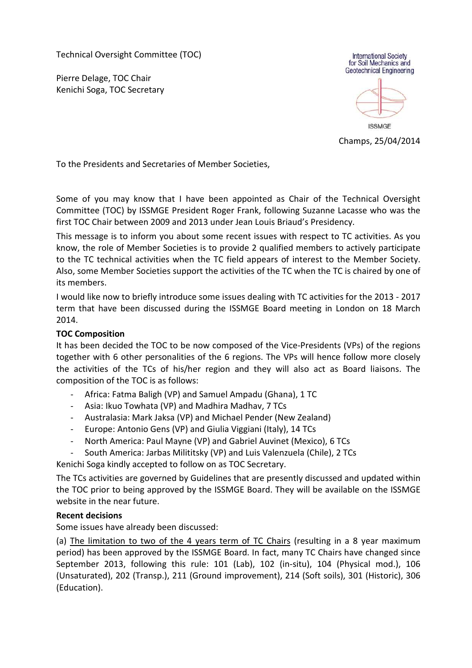Technical Oversight Committee (TOC)

Pierre Delage, TOC Chair Kenichi Soga, TOC Secretary



Champs, 25/04/2014

To the Presidents and Secretaries of Member Societies,

Some of you may know that I have been appointed as Chair of the Technical Oversight Committee (TOC) by ISSMGE President Roger Frank, following Suzanne Lacasse who was the first TOC Chair between 2009 and 2013 under Jean Louis Briaud's Presidency.

This message is to inform you about some recent issues with respect to TC activities. As you know, the role of Member Societies is to provide 2 qualified members to actively participate to the TC technical activities when the TC field appears of interest to the Member Society. Also, some Member Societies support the activities of the TC when the TC is chaired by one of its members.

I would like now to briefly introduce some issues dealing with TC activities for the 2013 - 2017 term that have been discussed during the ISSMGE Board meeting in London on 18 March 2014.

## TOC Composition

It has been decided the TOC to be now composed of the Vice-Presidents (VPs) of the regions together with 6 other personalities of the 6 regions. The VPs will hence follow more closely the activities of the TCs of his/her region and they will also act as Board liaisons. The composition of the TOC is as follows:

- Africa: Fatma Baligh (VP) and Samuel Ampadu (Ghana), 1 TC
- Asia: Ikuo Towhata (VP) and Madhira Madhav, 7 TCs
- Australasia: Mark Jaksa (VP) and Michael Pender (New Zealand)
- Europe: Antonio Gens (VP) and Giulia Viggiani (Italy), 14 TCs
- North America: Paul Mayne (VP) and Gabriel Auvinet (Mexico), 6 TCs
- South America: Jarbas Milititsky (VP) and Luis Valenzuela (Chile), 2 TCs

Kenichi Soga kindly accepted to follow on as TOC Secretary.

The TCs activities are governed by Guidelines that are presently discussed and updated within the TOC prior to being approved by the ISSMGE Board. They will be available on the ISSMGE website in the near future.

## Recent decisions

Some issues have already been discussed:

(a) The limitation to two of the 4 years term of TC Chairs (resulting in a 8 year maximum period) has been approved by the ISSMGE Board. In fact, many TC Chairs have changed since September 2013, following this rule: 101 (Lab), 102 (in-situ), 104 (Physical mod.), 106 (Unsaturated), 202 (Transp.), 211 (Ground improvement), 214 (Soft soils), 301 (Historic), 306 (Education).